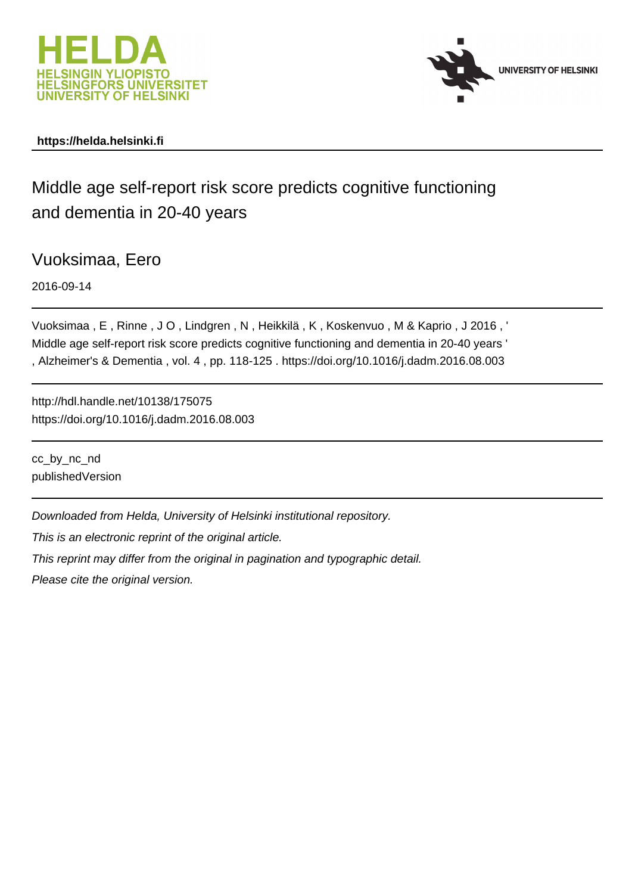



# **https://helda.helsinki.fi**

# Middle age self-report risk score predicts cognitive functioning and dementia in 20-40 years

Vuoksimaa, Eero

2016-09-14

Vuoksimaa , E , Rinne , J O , Lindgren , N , Heikkilä , K , Koskenvuo , M & Kaprio , J 2016 , ' Middle age self-report risk score predicts cognitive functioning and dementia in 20-40 years ' , Alzheimer's & Dementia , vol. 4 , pp. 118-125 . https://doi.org/10.1016/j.dadm.2016.08.003

http://hdl.handle.net/10138/175075 https://doi.org/10.1016/j.dadm.2016.08.003

cc\_by\_nc\_nd publishedVersion

Downloaded from Helda, University of Helsinki institutional repository.

This is an electronic reprint of the original article.

This reprint may differ from the original in pagination and typographic detail.

Please cite the original version.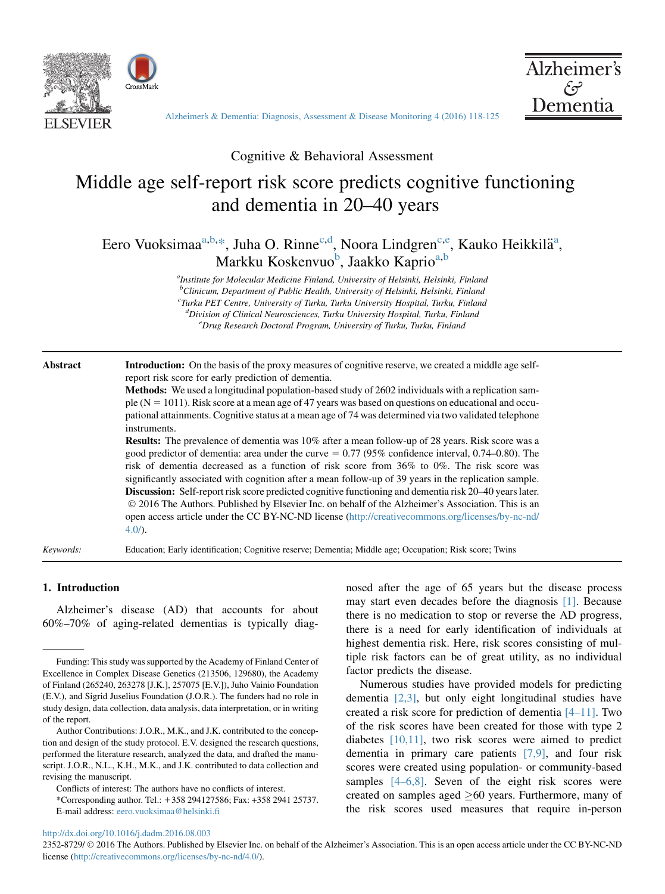



[Alzheimer's & Dementia: Diagnosis, Assessment & Disease Monitoring 4 \(2016\) 118-125](http://dx.doi.org/10.1016/j.dadm.2016.08.003)

Cognitive & Behavioral Assessment

# Middle age self-report risk score predicts cognitive functioning and dementia in 20–40 years

Eero Vuoksimaa<sup>a,b,\*</sup>, Juha O. Rinne<sup>c,d</sup>, Noora Lindgren<sup>c,e</sup>, Kauko Heikkilä<sup>a</sup>, Markku Koskenvuo<sup>b</sup>, Jaakko Kaprio<sup>a,b</sup>

> a<br>Institute for Molecular Medicine Finland, University of Helsinki, Helsinki, Finland <sup>b</sup>Clinicum, Department of Public Health, University of Helsinki, Helsinki, Finland <sup>c</sup>Turku PET Centre, University of Turku, Turku University Hospital, Turku, Finland <sup>d</sup>Division of Clinical Neurosciences, Turku University Hospital, Turku, Finland e Drug Research Doctoral Program, University of Turku, Turku, Finland

Abstract Introduction: On the basis of the proxy measures of cognitive reserve, we created a middle age selfreport risk score for early prediction of dementia.

> Methods: We used a longitudinal population-based study of 2602 individuals with a replication sample  $(N = 1011)$ . Risk score at a mean age of 47 years was based on questions on educational and occupational attainments. Cognitive status at a mean age of 74 was determined via two validated telephone instruments.

> Results: The prevalence of dementia was 10% after a mean follow-up of 28 years. Risk score was a good predictor of dementia: area under the curve  $= 0.77$  (95% confidence interval, 0.74–0.80). The risk of dementia decreased as a function of risk score from 36% to 0%. The risk score was significantly associated with cognition after a mean follow-up of 39 years in the replication sample. Discussion: Self-report risk score predicted cognitive functioning and dementia risk 20–40 years later. 2016 The Authors. Published by Elsevier Inc. on behalf of the Alzheimer's Association. This is an open access article under the CC BY-NC-ND license ([http://creativecommons.org/licenses/by-nc-nd/](http://creativecommons.org/licenses/by-nc-nd/4.0/) [4.0/](http://creativecommons.org/licenses/by-nc-nd/4.0/)).

Keywords: Education; Early identification; Cognitive reserve; Dementia; Middle age; Occupation; Risk score; Twins

#### 1. Introduction

Alzheimer's disease (AD) that accounts for about 60%–70% of aging-related dementias is typically diagnosed after the age of 65 years but the disease process may start even decades before the diagnosis [1]. Because there is no medication to stop or reverse the AD progress, there is a need for early identification of individuals at highest dementia risk. Here, risk scores consisting of multiple risk factors can be of great utility, as no individual factor predicts the disease.

Numerous studies have provided models for predicting dementia [2,3], but only eight longitudinal studies have created a risk score for prediction of dementia [4–11]. Two of the risk scores have been created for those with type 2 diabetes [10,11], two risk scores were aimed to predict dementia in primary care patients [7,9], and four risk scores were created using population- or community-based samples [4–6,8]. Seven of the eight risk scores were created on samples aged  $>60$  years. Furthermore, many of the risk scores used measures that require in-person

#### <http://dx.doi.org/10.1016/j.dadm.2016.08.003>

2352-8729/  $\odot$  2016 The Authors. Published by Elsevier Inc. on behalf of the Alzheimer's Association. This is an open access article under the CC BY-NC-ND license ([http://creativecommons.org/licenses/by-nc-nd/4.0/\)](http://creativecommons.org/licenses/by-nc-nd/4.0/).

Funding: This study was supported by the Academy of Finland Center of Excellence in Complex Disease Genetics (213506, 129680), the Academy of Finland (265240, 263278 [J.K.], 257075 [E.V.]), Juho Vainio Foundation (E.V.), and Sigrid Juselius Foundation (J.O.R.). The funders had no role in study design, data collection, data analysis, data interpretation, or in writing of the report.

Author Contributions: J.O.R., M.K., and J.K. contributed to the conception and design of the study protocol. E.V. designed the research questions, performed the literature research, analyzed the data, and drafted the manuscript. J.O.R., N.L., K.H., M.K., and J.K. contributed to data collection and revising the manuscript.

Conflicts of interest: The authors have no conflicts of interest.

<sup>\*</sup>Corresponding author. Tel.: 1358 294127586; Fax: +358 2941 25737. E-mail address: [eero.vuoksimaa@helsinki.fi](mailto:eero.vuoksimaa@helsinki.fi)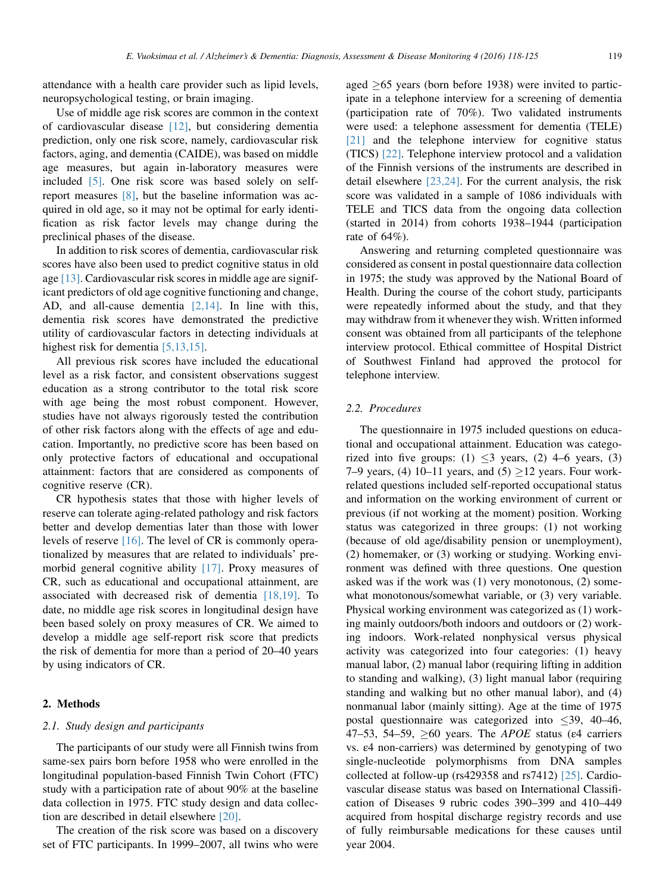attendance with a health care provider such as lipid levels, neuropsychological testing, or brain imaging.

Use of middle age risk scores are common in the context of cardiovascular disease [12], but considering dementia prediction, only one risk score, namely, cardiovascular risk factors, aging, and dementia (CAIDE), was based on middle age measures, but again in-laboratory measures were included [5]. One risk score was based solely on selfreport measures [8], but the baseline information was acquired in old age, so it may not be optimal for early identification as risk factor levels may change during the preclinical phases of the disease.

In addition to risk scores of dementia, cardiovascular risk scores have also been used to predict cognitive status in old age [13]. Cardiovascular risk scores in middle age are significant predictors of old age cognitive functioning and change, AD, and all-cause dementia [2,14]. In line with this, dementia risk scores have demonstrated the predictive utility of cardiovascular factors in detecting individuals at highest risk for dementia [5,13,15].

All previous risk scores have included the educational level as a risk factor, and consistent observations suggest education as a strong contributor to the total risk score with age being the most robust component. However, studies have not always rigorously tested the contribution of other risk factors along with the effects of age and education. Importantly, no predictive score has been based on only protective factors of educational and occupational attainment: factors that are considered as components of cognitive reserve (CR).

CR hypothesis states that those with higher levels of reserve can tolerate aging-related pathology and risk factors better and develop dementias later than those with lower levels of reserve [16]. The level of CR is commonly operationalized by measures that are related to individuals' premorbid general cognitive ability [17]. Proxy measures of CR, such as educational and occupational attainment, are associated with decreased risk of dementia [18,19]. To date, no middle age risk scores in longitudinal design have been based solely on proxy measures of CR. We aimed to develop a middle age self-report risk score that predicts the risk of dementia for more than a period of 20–40 years by using indicators of CR.

### 2. Methods

#### 2.1. Study design and participants

The participants of our study were all Finnish twins from same-sex pairs born before 1958 who were enrolled in the longitudinal population-based Finnish Twin Cohort (FTC) study with a participation rate of about 90% at the baseline data collection in 1975. FTC study design and data collection are described in detail elsewhere [20].

The creation of the risk score was based on a discovery set of FTC participants. In 1999–2007, all twins who were aged  $\geq 65$  years (born before 1938) were invited to participate in a telephone interview for a screening of dementia (participation rate of 70%). Two validated instruments were used: a telephone assessment for dementia (TELE) [21] and the telephone interview for cognitive status (TICS) [22]. Telephone interview protocol and a validation of the Finnish versions of the instruments are described in detail elsewhere [23,24]. For the current analysis, the risk score was validated in a sample of 1086 individuals with TELE and TICS data from the ongoing data collection (started in 2014) from cohorts 1938–1944 (participation rate of  $64\%$ ).

Answering and returning completed questionnaire was considered as consent in postal questionnaire data collection in 1975; the study was approved by the National Board of Health. During the course of the cohort study, participants were repeatedly informed about the study, and that they may withdraw from it whenever they wish. Written informed consent was obtained from all participants of the telephone interview protocol. Ethical committee of Hospital District of Southwest Finland had approved the protocol for telephone interview.

#### 2.2. Procedures

The questionnaire in 1975 included questions on educational and occupational attainment. Education was categorized into five groups: (1)  $\leq$ 3 years, (2) 4–6 years, (3) 7–9 years, (4) 10–11 years, and (5)  $\geq$  12 years. Four workrelated questions included self-reported occupational status and information on the working environment of current or previous (if not working at the moment) position. Working status was categorized in three groups: (1) not working (because of old age/disability pension or unemployment), (2) homemaker, or (3) working or studying. Working environment was defined with three questions. One question asked was if the work was (1) very monotonous, (2) somewhat monotonous/somewhat variable, or (3) very variable. Physical working environment was categorized as (1) working mainly outdoors/both indoors and outdoors or (2) working indoors. Work-related nonphysical versus physical activity was categorized into four categories: (1) heavy manual labor, (2) manual labor (requiring lifting in addition to standing and walking), (3) light manual labor (requiring standing and walking but no other manual labor), and (4) nonmanual labor (mainly sitting). Age at the time of 1975 postal questionnaire was categorized into  $\leq$ 39, 40–46, 47–53, 54–59,  $\geq 60$  years. The *APOE* status ( $\varepsilon$ 4 carriers vs. ε4 non-carriers) was determined by genotyping of two single-nucleotide polymorphisms from DNA samples collected at follow-up (rs429358 and rs7412) [25]. Cardiovascular disease status was based on International Classification of Diseases 9 rubric codes 390–399 and 410–449 acquired from hospital discharge registry records and use of fully reimbursable medications for these causes until year 2004.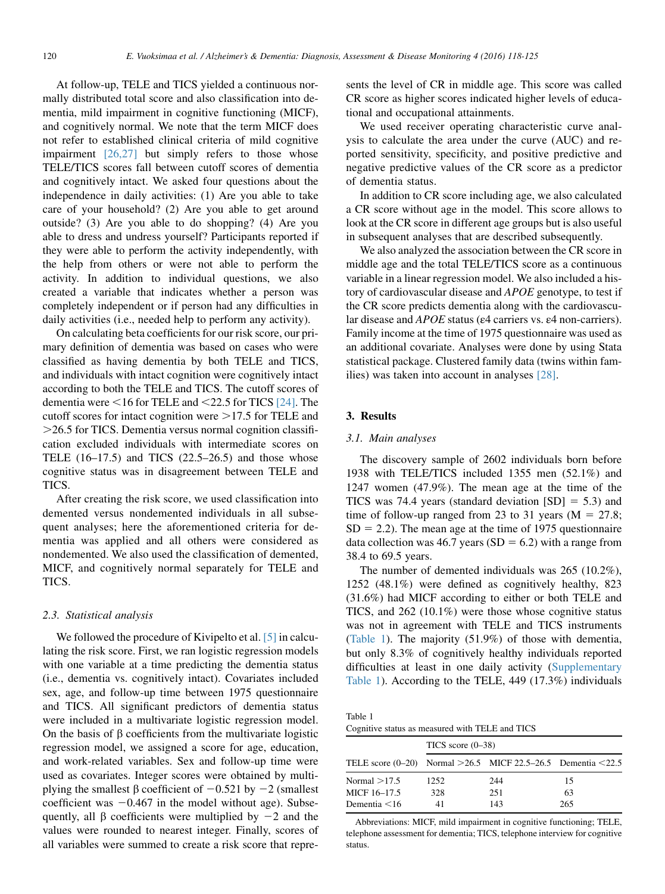At follow-up, TELE and TICS yielded a continuous normally distributed total score and also classification into dementia, mild impairment in cognitive functioning (MICF), and cognitively normal. We note that the term MICF does not refer to established clinical criteria of mild cognitive impairment  $[26,27]$  but simply refers to those whose TELE/TICS scores fall between cutoff scores of dementia and cognitively intact. We asked four questions about the independence in daily activities: (1) Are you able to take care of your household? (2) Are you able to get around outside? (3) Are you able to do shopping? (4) Are you able to dress and undress yourself? Participants reported if they were able to perform the activity independently, with the help from others or were not able to perform the activity. In addition to individual questions, we also created a variable that indicates whether a person was completely independent or if person had any difficulties in daily activities (i.e., needed help to perform any activity).

On calculating beta coefficients for our risk score, our primary definition of dementia was based on cases who were classified as having dementia by both TELE and TICS, and individuals with intact cognition were cognitively intact according to both the TELE and TICS. The cutoff scores of dementia were  $\leq 16$  for TELE and  $\leq 22.5$  for TICS [24]. The cutoff scores for intact cognition were  $>17.5$  for TELE and .26.5 for TICS. Dementia versus normal cognition classification excluded individuals with intermediate scores on TELE  $(16-17.5)$  and TICS  $(22.5-26.5)$  and those whose cognitive status was in disagreement between TELE and TICS.

After creating the risk score, we used classification into demented versus nondemented individuals in all subsequent analyses; here the aforementioned criteria for dementia was applied and all others were considered as nondemented. We also used the classification of demented, MICF, and cognitively normal separately for TELE and TICS.

#### 2.3. Statistical analysis

We followed the procedure of Kivipelto et al. [5] in calculating the risk score. First, we ran logistic regression models with one variable at a time predicting the dementia status (i.e., dementia vs. cognitively intact). Covariates included sex, age, and follow-up time between 1975 questionnaire and TICS. All significant predictors of dementia status were included in a multivariate logistic regression model. On the basis of  $\beta$  coefficients from the multivariate logistic regression model, we assigned a score for age, education, and work-related variables. Sex and follow-up time were used as covariates. Integer scores were obtained by multiplying the smallest  $\beta$  coefficient of  $-0.521$  by  $-2$  (smallest coefficient was  $-0.467$  in the model without age). Subsequently, all  $\beta$  coefficients were multiplied by  $-2$  and the values were rounded to nearest integer. Finally, scores of all variables were summed to create a risk score that represents the level of CR in middle age. This score was called CR score as higher scores indicated higher levels of educational and occupational attainments.

We used receiver operating characteristic curve analysis to calculate the area under the curve (AUC) and reported sensitivity, specificity, and positive predictive and negative predictive values of the CR score as a predictor of dementia status.

In addition to CR score including age, we also calculated a CR score without age in the model. This score allows to look at the CR score in different age groups but is also useful in subsequent analyses that are described subsequently.

We also analyzed the association between the CR score in middle age and the total TELE/TICS score as a continuous variable in a linear regression model. We also included a history of cardiovascular disease and APOE genotype, to test if the CR score predicts dementia along with the cardiovascular disease and APOE status (ε4 carriers vs. ε4 non-carriers). Family income at the time of 1975 questionnaire was used as an additional covariate. Analyses were done by using Stata statistical package. Clustered family data (twins within families) was taken into account in analyses [28].

#### 3. Results

#### 3.1. Main analyses

The discovery sample of 2602 individuals born before 1938 with TELE/TICS included 1355 men (52.1%) and 1247 women (47.9%). The mean age at the time of the TICS was 74.4 years (standard deviation  $[SD] = 5.3$ ) and time of follow-up ranged from 23 to 31 years ( $M = 27.8$ ;  $SD = 2.2$ ). The mean age at the time of 1975 questionnaire data collection was 46.7 years (SD =  $6.2$ ) with a range from 38.4 to 69.5 years.

The number of demented individuals was 265 (10.2%), 1252 (48.1%) were defined as cognitively healthy, 823 (31.6%) had MICF according to either or both TELE and TICS, and 262 (10.1%) were those whose cognitive status was not in agreement with TELE and TICS instruments (Table 1). The majority (51.9%) of those with dementia, but only 8.3% of cognitively healthy individuals reported difficulties at least in one daily activity (Supplementary Table 1). According to the TELE, 449 (17.3%) individuals

Table 1 Cognitive status as measured with TELE and TICS

|                                                                | TICS score $(0-38)$ |     |     |  |  |
|----------------------------------------------------------------|---------------------|-----|-----|--|--|
| TELE score $(0-20)$ Normal >26.5 MICF 22.5-26.5 Dementia <22.5 |                     |     |     |  |  |
| Normal $>17.5$                                                 | 1252.               | 244 | 15  |  |  |
| MICF 16-17.5                                                   | 328                 | 251 | 63  |  |  |
| Dementia $\leq 16$                                             | 41                  | 143 | 265 |  |  |

Abbreviations: MICF, mild impairment in cognitive functioning; TELE, telephone assessment for dementia; TICS, telephone interview for cognitive status.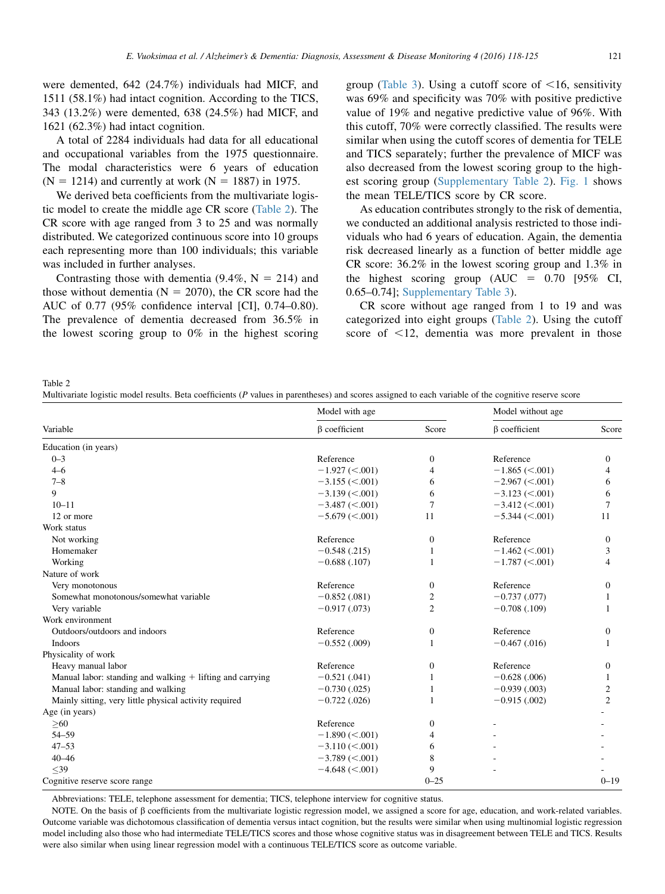were demented, 642 (24.7%) individuals had MICF, and 1511 (58.1%) had intact cognition. According to the TICS, 343 (13.2%) were demented, 638 (24.5%) had MICF, and 1621 (62.3%) had intact cognition.

A total of 2284 individuals had data for all educational and occupational variables from the 1975 questionnaire. The modal characteristics were 6 years of education  $(N = 1214)$  and currently at work  $(N = 1887)$  in 1975.

We derived beta coefficients from the multivariate logistic model to create the middle age CR score (Table 2). The CR score with age ranged from 3 to 25 and was normally distributed. We categorized continuous score into 10 groups each representing more than 100 individuals; this variable was included in further analyses.

Contrasting those with dementia (9.4%,  $N = 214$ ) and those without dementia ( $N = 2070$ ), the CR score had the AUC of 0.77 (95% confidence interval [CI], 0.74–0.80). The prevalence of dementia decreased from 36.5% in the lowest scoring group to 0% in the highest scoring group (Table 3). Using a cutoff score of  $\leq 16$ , sensitivity was 69% and specificity was 70% with positive predictive value of 19% and negative predictive value of 96%. With this cutoff, 70% were correctly classified. The results were similar when using the cutoff scores of dementia for TELE and TICS separately; further the prevalence of MICF was also decreased from the lowest scoring group to the highest scoring group (Supplementary Table 2). Fig. 1 shows the mean TELE/TICS score by CR score.

As education contributes strongly to the risk of dementia, we conducted an additional analysis restricted to those individuals who had 6 years of education. Again, the dementia risk decreased linearly as a function of better middle age CR score: 36.2% in the lowest scoring group and 1.3% in the highest scoring group (AUC =  $0.70$  [95% CI, 0.65–0.74]; Supplementary Table 3).

CR score without age ranged from 1 to 19 and was categorized into eight groups (Table 2). Using the cutoff score of  $\leq$ 12, dementia was more prevalent in those

Table 2

Multivariate logistic model results. Beta coefficients (P values in parentheses) and scores assigned to each variable of the cognitive reserve score

|                                                           | Model with age         |                  | Model without age   |                |
|-----------------------------------------------------------|------------------------|------------------|---------------------|----------------|
| Variable                                                  | $\beta$ coefficient    | Score            | $\beta$ coefficient | Score          |
| Education (in years)                                      |                        |                  |                     |                |
| $0 - 3$                                                   | Reference              | $\mathbf{0}$     | Reference           | $\mathbf{0}$   |
| $4 - 6$                                                   | $-1.927 \le 0.001$     | 4                | $-1.865 (< 0.001)$  | 4              |
| $7 - 8$                                                   | $-3.155 \approx 0.001$ | 6                | $-2.967 (< 0.001)$  | 6              |
| 9                                                         | $-3.139 \, (< 001)$    | 6                | $-3.123 (< 0.001)$  | 6              |
| $10 - 11$                                                 | $-3.487 (< 0.001)$     | 7                | $-3.412 (< 0.001)$  | 7              |
| 12 or more                                                | $-5.679 (< 0.001)$     | 11               | $-5.344 \leq 0.001$ | 11             |
| Work status                                               |                        |                  |                     |                |
| Not working                                               | Reference              | $\mathbf{0}$     | Reference           | $\mathbf{0}$   |
| Homemaker                                                 | $-0.548(.215)$         | 1                | $-1.462 (< 0.001)$  | 3              |
| Working                                                   | $-0.688(0.107)$        | 1                | $-1.787 (< 0.001)$  | 4              |
| Nature of work                                            |                        |                  |                     |                |
| Very monotonous                                           | Reference              | $\mathbf{0}$     | Reference           | $\Omega$       |
| Somewhat monotonous/somewhat variable                     | $-0.852(.081)$         | 2                | $-0.737(0.077)$     |                |
| Very variable                                             | $-0.917(0.073)$        | 2                | $-0.708(0.109)$     |                |
| Work environment                                          |                        |                  |                     |                |
| Outdoors/outdoors and indoors                             | Reference              | $\boldsymbol{0}$ | Reference           | $\Omega$       |
| <b>Indoors</b>                                            | $-0.552(0.009)$        | 1                | $-0.467(0.016)$     |                |
| Physicality of work                                       |                        |                  |                     |                |
| Heavy manual labor                                        | Reference              | $\boldsymbol{0}$ | Reference           | $\mathbf{0}$   |
| Manual labor: standing and walking + lifting and carrying | $-0.521$ (.041)        | 1                | $-0.628(.006)$      | 1              |
| Manual labor: standing and walking                        | $-0.730(0.025)$        | 1                | $-0.939(0.003)$     | $\overline{2}$ |
| Mainly sitting, very little physical activity required    | $-0.722$ (.026)        | 1                | $-0.915(.002)$      | $\overline{2}$ |
| Age (in years)                                            |                        |                  |                     |                |
| >60                                                       | Reference              | $\boldsymbol{0}$ |                     |                |
| 54-59                                                     | $-1.890 (< 0.001)$     | 4                |                     |                |
| $47 - 53$                                                 | $-3.110 \, (< 001)$    | 6                |                     |                |
| $40 - 46$                                                 | $-3.789 (< 0.001)$     | 8                |                     |                |
| $<$ 39                                                    | $-4.648 (< 0.001)$     | 9                |                     |                |
| Cognitive reserve score range                             |                        | $0 - 25$         |                     | $0 - 19$       |

Abbreviations: TELE, telephone assessment for dementia; TICS, telephone interview for cognitive status.

NOTE. On the basis of  $\beta$  coefficients from the multivariate logistic regression model, we assigned a score for age, education, and work-related variables. Outcome variable was dichotomous classification of dementia versus intact cognition, but the results were similar when using multinomial logistic regression model including also those who had intermediate TELE/TICS scores and those whose cognitive status was in disagreement between TELE and TICS. Results were also similar when using linear regression model with a continuous TELE/TICS score as outcome variable.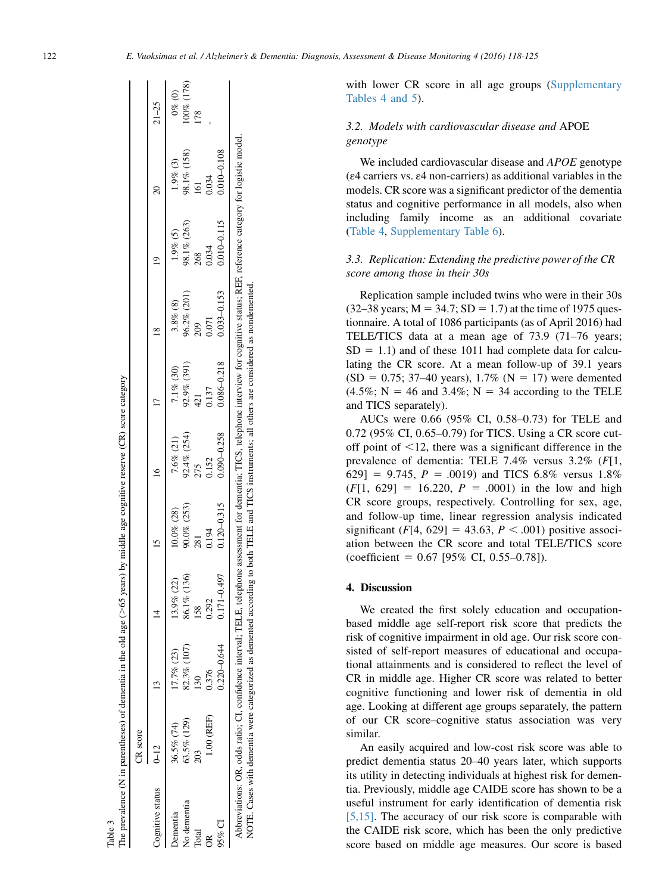|                  | CR score                                                                                                                                                                                    |                 |                 |              |                 |                 |                 |             |                 |              |
|------------------|---------------------------------------------------------------------------------------------------------------------------------------------------------------------------------------------|-----------------|-----------------|--------------|-----------------|-----------------|-----------------|-------------|-----------------|--------------|
| Cognitive status | $0 - 12$                                                                                                                                                                                    |                 |                 |              |                 |                 |                 |             |                 | $21 - 25$    |
| ementia          | 36.5% (74)                                                                                                                                                                                  | 17.7% (23)      | 13.9% (22)      | $0.0\%~(28)$ | 7.6% (21)       | 7.1% (30)       | $3.8\%$ (8)     | $1.9\%$ (5) | $1.9\%$ (3)     | $0\% (0)$    |
| lo dementia      | 63.5% (129)                                                                                                                                                                                 | 82.3% (107)     | 86.1% (136)     | 90.0% (253)  | 92.4% (254)     | 92.9% (391)     | 96.2% (201)     | 98.1% (263) | 98.1% (158)     | $00\%$ (178) |
|                  |                                                                                                                                                                                             |                 | 58              | 281          | 275             | 421             | 209             | 268         | $\overline{6}$  |              |
|                  | $1.00$ (REF)                                                                                                                                                                                | 0.376           | 0.292           | 194          | 1.152           | 1137            | 0.071           | 0.034       | 1.034           |              |
| $5%$ CI          |                                                                                                                                                                                             | $0.220 - 0.644$ | $0.171 - 0.497$ | 120-0.315    | $0.090 - 0.258$ | $0.086 - 0.218$ | $0.033 - 0.153$ | 0.010-0.115 | $0.010 - 0.108$ |              |
|                  | Abbreviations: OR, odds ratio; CI, confidence interval; TELE, telephone assessment for dementia; TICS, telephone interview for cognitive status; REF, reference category for logistic model |                 |                 |              |                 |                 |                 |             |                 |              |

NOTE. Cases with dementia were categorized as demented according to both TELE and TICS instruments; all others are considered as nondemented.

VOTE. Cases with dementia were categorized as demented according to both TELE and TICS instruments; all others are considered as nondemented

Table 3<br>The prevalence (N in parentheses) of dementia in the old age (>65 years) by middle age cognitive reserve (CR) score category The prevalence (N in parentheses) of dementia in the old age ( .65 years) by middle age cognitive reserve (CR) score category

with lower CR score in all age groups (Supplementary Tables 4 and 5).

# 3.2. Models with cardiovascular disease and APOE genotype

We included cardiovascular disease and *APOE* genotype (ε4 carriers vs. ε4 non-carriers) as additional variables in the models. CR score was a significant predictor of the dementia status and cognitive performance in all models, also when including family income as an additional covariate (Table 4, Supplementary Table 6).

# 3.3. Replication: Extending the predictive power of the CR score among those in their 30s

Replication sample included twins who were in their 30s  $(32–38 \text{ years}; M = 34.7; SD = 1.7)$  at the time of 1975 questionnaire. A total of 1086 participants (as of April 2016) had TELE/TICS data at a mean age of 73.9 (71–76 years;  $SD = 1.1$ ) and of these 1011 had complete data for calculating the CR score. At a mean follow-up of 39.1 years  $(SD = 0.75; 37–40 \text{ years})$ , 1.7% (N = 17) were demented  $(4.5\%; N = 46 \text{ and } 3.4\%; N = 34 \text{ according to the TELE}$ and TICS separately).

AUCs were 0.66 (95% CI, 0.58–0.73) for TELE and 0.72 (95% CI, 0.65–0.79) for TICS. Using a CR score cutoff point of  $\leq$ 12, there was a significant difference in the prevalence of dementia: TELE 7.4% versus 3.2% (F[1, 629] = 9.745,  $P = .0019$  and TICS 6.8% versus 1.8%  $(F[1, 629] = 16.220, P = .0001)$  in the low and high CR score groups, respectively. Controlling for sex, age, and follow-up time, linear regression analysis indicated significant ( $F[4, 629] = 43.63, P < .001$ ) positive association between the CR score and total TELE/TICS score (coefficient =  $0.67$  [95% CI, 0.55–0.78]).

### 4. Discussion

We created the first solely education and occupationbased middle age self-report risk score that predicts the risk of cognitive impairment in old age. Our risk score consisted of self-report measures of educational and occupational attainments and is considered to reflect the level of CR in middle age. Higher CR score was related to better cognitive functioning and lower risk of dementia in old age. Looking at different age groups separately, the pattern of our CR score–cognitive status association was very similar.

An easily acquired and low-cost risk score was able to predict dementia status 20–40 years later, which supports its utility in detecting individuals at highest risk for dementia. Previously, middle age CAIDE score has shown to be a useful instrument for early identification of dementia risk [5,15]. The accuracy of our risk score is comparable with the CAIDE risk score, which has been the only predictive score based on middle age measures. Our score is based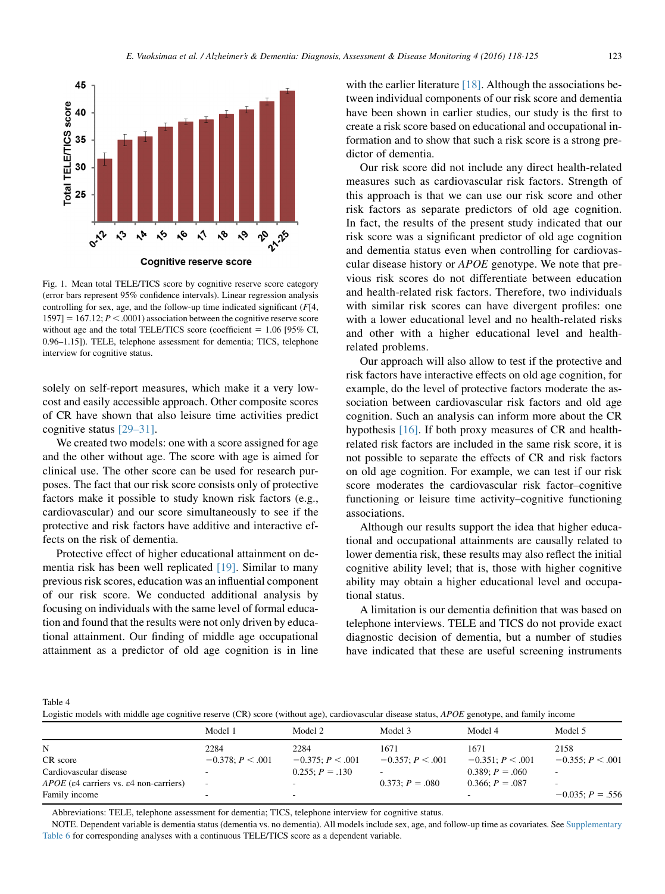

Fig. 1. Mean total TELE/TICS score by cognitive reserve score category (error bars represent 95% confidence intervals). Linear regression analysis controlling for sex, age, and the follow-up time indicated significant  $(F[4,$  $1597$ ] = 167.12;  $P < .0001$ ) association between the cognitive reserve score without age and the total TELE/TICS score (coefficient  $= 1.06$  [95% CI, 0.96–1.15]). TELE, telephone assessment for dementia; TICS, telephone interview for cognitive status.

solely on self-report measures, which make it a very lowcost and easily accessible approach. Other composite scores of CR have shown that also leisure time activities predict cognitive status [29–31].

We created two models: one with a score assigned for age and the other without age. The score with age is aimed for clinical use. The other score can be used for research purposes. The fact that our risk score consists only of protective factors make it possible to study known risk factors (e.g., cardiovascular) and our score simultaneously to see if the protective and risk factors have additive and interactive effects on the risk of dementia.

Protective effect of higher educational attainment on dementia risk has been well replicated [19]. Similar to many previous risk scores, education was an influential component of our risk score. We conducted additional analysis by focusing on individuals with the same level of formal education and found that the results were not only driven by educational attainment. Our finding of middle age occupational attainment as a predictor of old age cognition is in line with the earlier literature [18]. Although the associations between individual components of our risk score and dementia have been shown in earlier studies, our study is the first to create a risk score based on educational and occupational information and to show that such a risk score is a strong predictor of dementia.

Our risk score did not include any direct health-related measures such as cardiovascular risk factors. Strength of this approach is that we can use our risk score and other risk factors as separate predictors of old age cognition. In fact, the results of the present study indicated that our risk score was a significant predictor of old age cognition and dementia status even when controlling for cardiovascular disease history or *APOE* genotype. We note that previous risk scores do not differentiate between education and health-related risk factors. Therefore, two individuals with similar risk scores can have divergent profiles: one with a lower educational level and no health-related risks and other with a higher educational level and healthrelated problems.

Our approach will also allow to test if the protective and risk factors have interactive effects on old age cognition, for example, do the level of protective factors moderate the association between cardiovascular risk factors and old age cognition. Such an analysis can inform more about the CR hypothesis [16]. If both proxy measures of CR and healthrelated risk factors are included in the same risk score, it is not possible to separate the effects of CR and risk factors on old age cognition. For example, we can test if our risk score moderates the cardiovascular risk factor–cognitive functioning or leisure time activity–cognitive functioning associations.

Although our results support the idea that higher educational and occupational attainments are causally related to lower dementia risk, these results may also reflect the initial cognitive ability level; that is, those with higher cognitive ability may obtain a higher educational level and occupational status.

A limitation is our dementia definition that was based on telephone interviews. TELE and TICS do not provide exact diagnostic decision of dementia, but a number of studies have indicated that these are useful screening instruments

Table 4

Logistic models with middle age cognitive reserve (CR) score (without age), cardiovascular disease status, APOE genotype, and family income

|                                                                     | Model 1                | Model 2               | Model 3                | Model 4               | Model 5                  |
|---------------------------------------------------------------------|------------------------|-----------------------|------------------------|-----------------------|--------------------------|
| N                                                                   | 2284                   | 2284                  | 1671                   | 1671                  | 2158                     |
| CR score                                                            | $-0.378$ : $P < 0.001$ | $-0.375$ ; $P < .001$ | $-0.357$ : $P < 0.001$ | $-0.351: P \leq .001$ | $-0.355$ ; $P < .001$    |
| Cardiovascular disease                                              |                        | $0.255$ : $P = .130$  |                        | $0.389: P = .060$     | $\overline{\phantom{a}}$ |
| $APOE$ ( $\varepsilon$ 4 carriers vs. $\varepsilon$ 4 non-carriers) | $\sim$                 |                       | $0.373; P = .080$      | $0.366: P = .087$     | $\overline{\phantom{a}}$ |
| Family income                                                       |                        | -                     |                        |                       | $-0.035; P = .556$       |

Abbreviations: TELE, telephone assessment for dementia; TICS, telephone interview for cognitive status.

NOTE. Dependent variable is dementia status (dementia vs. no dementia). All models include sex, age, and follow-up time as covariates. See Supplementary Table 6 for corresponding analyses with a continuous TELE/TICS score as a dependent variable.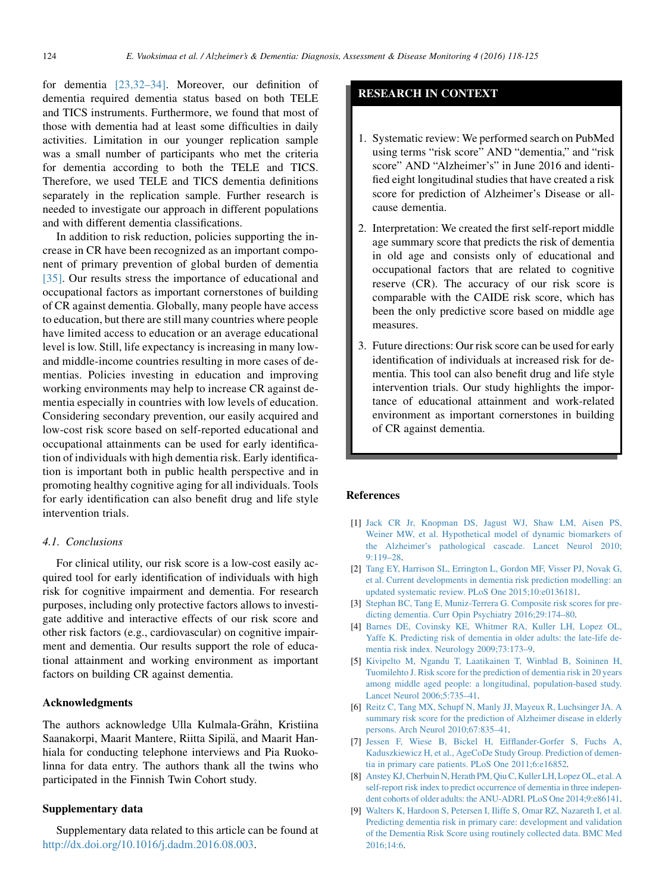for dementia [23,32–34]. Moreover, our definition of dementia required dementia status based on both TELE and TICS instruments. Furthermore, we found that most of those with dementia had at least some difficulties in daily activities. Limitation in our younger replication sample was a small number of participants who met the criteria for dementia according to both the TELE and TICS. Therefore, we used TELE and TICS dementia definitions separately in the replication sample. Further research is needed to investigate our approach in different populations and with different dementia classifications.

In addition to risk reduction, policies supporting the increase in CR have been recognized as an important component of primary prevention of global burden of dementia [35]. Our results stress the importance of educational and occupational factors as important cornerstones of building of CR against dementia. Globally, many people have access to education, but there are still many countries where people have limited access to education or an average educational level is low. Still, life expectancy is increasing in many lowand middle-income countries resulting in more cases of dementias. Policies investing in education and improving working environments may help to increase CR against dementia especially in countries with low levels of education. Considering secondary prevention, our easily acquired and low-cost risk score based on self-reported educational and occupational attainments can be used for early identification of individuals with high dementia risk. Early identification is important both in public health perspective and in promoting healthy cognitive aging for all individuals. Tools for early identification can also benefit drug and life style intervention trials.

#### 4.1. Conclusions

For clinical utility, our risk score is a low-cost easily acquired tool for early identification of individuals with high risk for cognitive impairment and dementia. For research purposes, including only protective factors allows to investigate additive and interactive effects of our risk score and other risk factors (e.g., cardiovascular) on cognitive impairment and dementia. Our results support the role of educational attainment and working environment as important factors on building CR against dementia.

#### Acknowledgments

The authors acknowledge Ulla Kulmala-Gråhn, Kristiina Saanakorpi, Maarit Mantere, Riitta Sipilä, and Maarit Hanhiala for conducting telephone interviews and Pia Ruokolinna for data entry. The authors thank all the twins who participated in the Finnish Twin Cohort study.

#### Supplementary data

Supplementary data related to this article can be found at [http://dx.doi.org/10.1016/j.dadm.2016.08.003.](http://dx.doi.org/10.1016/j.dadm.2016.08.003)

# RESEARCH IN CONTEXT

- 1. Systematic review: We performed search on PubMed using terms "risk score" AND "dementia," and "risk score" AND "Alzheimer's" in June 2016 and identified eight longitudinal studies that have created a risk score for prediction of Alzheimer's Disease or allcause dementia.
- 2. Interpretation: We created the first self-report middle age summary score that predicts the risk of dementia in old age and consists only of educational and occupational factors that are related to cognitive reserve (CR). The accuracy of our risk score is comparable with the CAIDE risk score, which has been the only predictive score based on middle age measures.
- 3. Future directions: Our risk score can be used for early identification of individuals at increased risk for dementia. This tool can also benefit drug and life style intervention trials. Our study highlights the importance of educational attainment and work-related environment as important cornerstones in building of CR against dementia.

#### References

- [1] [Jack CR Jr, Knopman DS, Jagust WJ, Shaw LM, Aisen PS,](http://refhub.elsevier.com/S2352-8729(16)30043-4/sref1) [Weiner MW, et al. Hypothetical model of dynamic biomarkers of](http://refhub.elsevier.com/S2352-8729(16)30043-4/sref1) [the Alzheimer's pathological cascade. Lancet Neurol 2010;](http://refhub.elsevier.com/S2352-8729(16)30043-4/sref1) [9:119–28.](http://refhub.elsevier.com/S2352-8729(16)30043-4/sref1)
- [2] [Tang EY, Harrison SL, Errington L, Gordon MF, Visser PJ, Novak G,](http://refhub.elsevier.com/S2352-8729(16)30043-4/sref2) [et al. Current developments in dementia risk prediction modelling: an](http://refhub.elsevier.com/S2352-8729(16)30043-4/sref2) [updated systematic review. PLoS One 2015;10:e0136181.](http://refhub.elsevier.com/S2352-8729(16)30043-4/sref2)
- [3] [Stephan BC, Tang E, Muniz-Terrera G. Composite risk scores for pre](http://refhub.elsevier.com/S2352-8729(16)30043-4/sref3)[dicting dementia. Curr Opin Psychiatry 2016;29:174–80](http://refhub.elsevier.com/S2352-8729(16)30043-4/sref3).
- [4] [Barnes DE, Covinsky KE, Whitmer RA, Kuller LH, Lopez OL,](http://refhub.elsevier.com/S2352-8729(16)30043-4/sref4) [Yaffe K. Predicting risk of dementia in older adults: the late-life de](http://refhub.elsevier.com/S2352-8729(16)30043-4/sref4)[mentia risk index. Neurology 2009;73:173–9.](http://refhub.elsevier.com/S2352-8729(16)30043-4/sref4)
- [5] [Kivipelto M, Ngandu T, Laatikainen T, Winblad B, Soininen H,](http://refhub.elsevier.com/S2352-8729(16)30043-4/sref5) [Tuomilehto J. Risk score for the prediction of dementia risk in 20 years](http://refhub.elsevier.com/S2352-8729(16)30043-4/sref5) [among middle aged people: a longitudinal, population-based study.](http://refhub.elsevier.com/S2352-8729(16)30043-4/sref5) [Lancet Neurol 2006;5:735–41.](http://refhub.elsevier.com/S2352-8729(16)30043-4/sref5)
- [6] [Reitz C, Tang MX, Schupf N, Manly JJ, Mayeux R, Luchsinger JA. A](http://refhub.elsevier.com/S2352-8729(16)30043-4/sref6) [summary risk score for the prediction of Alzheimer disease in elderly](http://refhub.elsevier.com/S2352-8729(16)30043-4/sref6) [persons. Arch Neurol 2010;67:835–41](http://refhub.elsevier.com/S2352-8729(16)30043-4/sref6).
- [7] [Jessen F, Wiese B, Bickel H, Eifflander-Gorfer S, Fuchs A,](http://refhub.elsevier.com/S2352-8729(16)30043-4/sref7) [Kaduszkiewicz H, et al., AgeCoDe Study Group. Prediction of demen](http://refhub.elsevier.com/S2352-8729(16)30043-4/sref7)[tia in primary care patients. PLoS One 2011;6:e16852](http://refhub.elsevier.com/S2352-8729(16)30043-4/sref7).
- [8] [Anstey KJ, Cherbuin N, Herath PM, Qiu C, Kuller LH, Lopez OL, et al. A](http://refhub.elsevier.com/S2352-8729(16)30043-4/sref8) [self-report risk index to predict occurrence of dementia in three indepen](http://refhub.elsevier.com/S2352-8729(16)30043-4/sref8)[dent cohorts of older adults: the ANU-ADRI. PLoS One 2014;9:e86141](http://refhub.elsevier.com/S2352-8729(16)30043-4/sref8).
- [9] [Walters K, Hardoon S, Petersen I, Iliffe S, Omar RZ, Nazareth I, et al.](http://refhub.elsevier.com/S2352-8729(16)30043-4/sref9) [Predicting dementia risk in primary care: development and validation](http://refhub.elsevier.com/S2352-8729(16)30043-4/sref9) [of the Dementia Risk Score using routinely collected data. BMC Med](http://refhub.elsevier.com/S2352-8729(16)30043-4/sref9) [2016;14:6](http://refhub.elsevier.com/S2352-8729(16)30043-4/sref9).